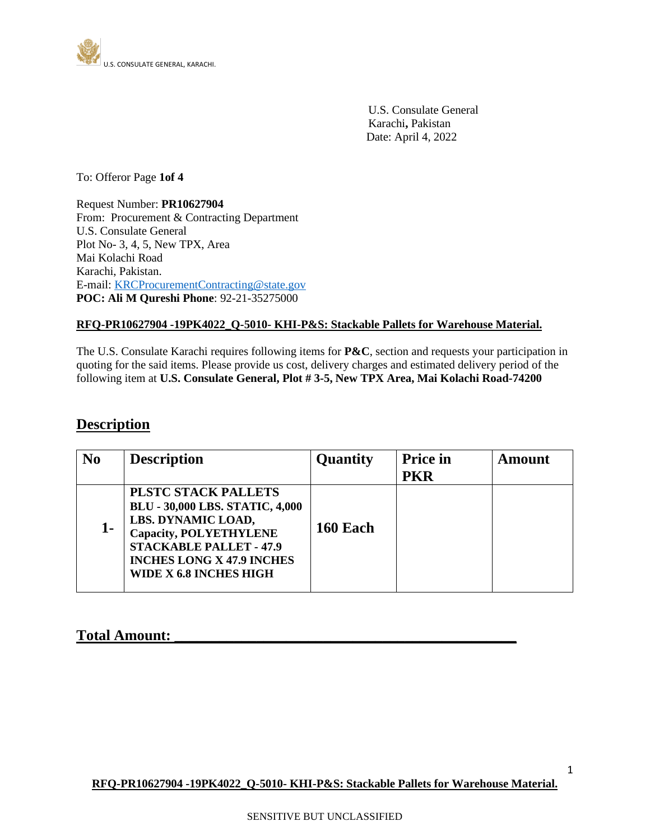

 U.S. Consulate General Karachi**,** Pakistan Date: April 4, 2022

To: Offeror Page **1of 4**

Request Number: **PR10627904** From: Procurement & Contracting Department U.S. Consulate General Plot No- 3, 4, 5, New TPX, Area Mai Kolachi Road Karachi, Pakistan. E-mail[: KRCProcurementContracting@state.gov](mailto:KRCProcurementContracting@state.gov) **POC: Ali M Qureshi Phone**: 92-21-35275000

#### **RFQ-PR10627904 -19PK4022\_Q-5010- KHI-P&S: Stackable Pallets for Warehouse Material.**

The U.S. Consulate Karachi requires following items for **P&C**, section and requests your participation in quoting for the said items. Please provide us cost, delivery charges and estimated delivery period of the following item at **U.S. Consulate General, Plot # 3-5, New TPX Area, Mai Kolachi Road-74200**

# **Description**

| N <sub>0</sub> | <b>Description</b>                                                                                                                                                                                                                 | Quantity        | Price in<br><b>PKR</b> | <b>Amount</b> |
|----------------|------------------------------------------------------------------------------------------------------------------------------------------------------------------------------------------------------------------------------------|-----------------|------------------------|---------------|
| 1-             | <b>PLSTC STACK PALLETS</b><br><b>BLU - 30,000 LBS. STATIC, 4,000</b><br>LBS. DYNAMIC LOAD,<br><b>Capacity, POLYETHYLENE</b><br><b>STACKABLE PALLET - 47.9</b><br><b>INCHES LONG X 47.9 INCHES</b><br><b>WIDE X 6.8 INCHES HIGH</b> | <b>160 Each</b> |                        |               |

# **Total Amount: \_\_\_\_\_\_\_\_\_\_\_\_\_\_\_\_\_\_\_\_\_\_\_\_\_\_\_\_\_\_\_\_\_\_\_\_\_\_\_\_\_\_\_\_\_\_**

1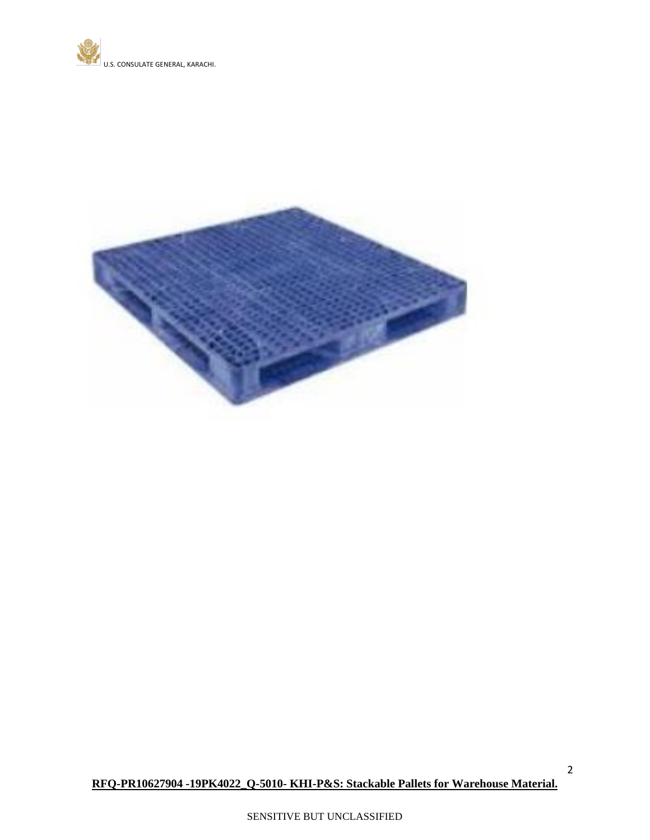



2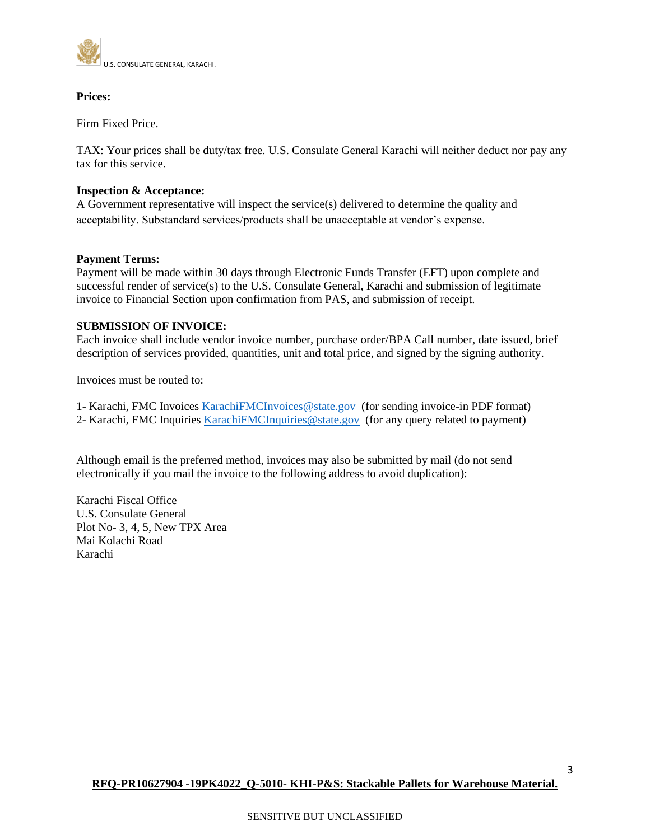

### **Prices:**

Firm Fixed Price.

TAX: Your prices shall be duty/tax free. U.S. Consulate General Karachi will neither deduct nor pay any tax for this service.

#### **Inspection & Acceptance:**

A Government representative will inspect the service(s) delivered to determine the quality and acceptability. Substandard services/products shall be unacceptable at vendor's expense.

#### **Payment Terms:**

Payment will be made within 30 days through Electronic Funds Transfer (EFT) upon complete and successful render of service(s) to the U.S. Consulate General, Karachi and submission of legitimate invoice to Financial Section upon confirmation from PAS, and submission of receipt.

#### **SUBMISSION OF INVOICE:**

Each invoice shall include vendor invoice number, purchase order/BPA Call number, date issued, brief description of services provided, quantities, unit and total price, and signed by the signing authority.

Invoices must be routed to:

- 1- Karachi, FMC Invoices [KarachiFMCInvoices@state.gov](mailto:KarachiFMCInvoices@state.gov) (for sending invoice-in PDF format)
- 2- Karachi, FMC Inquiries [KarachiFMCInquiries@state.gov](mailto:KarachiFMCInquiries@state.gov) (for any query related to payment)

Although email is the preferred method, invoices may also be submitted by mail (do not send electronically if you mail the invoice to the following address to avoid duplication):

Karachi Fiscal Office U.S. Consulate General Plot No- 3, 4, 5, New TPX Area Mai Kolachi Road Karachi